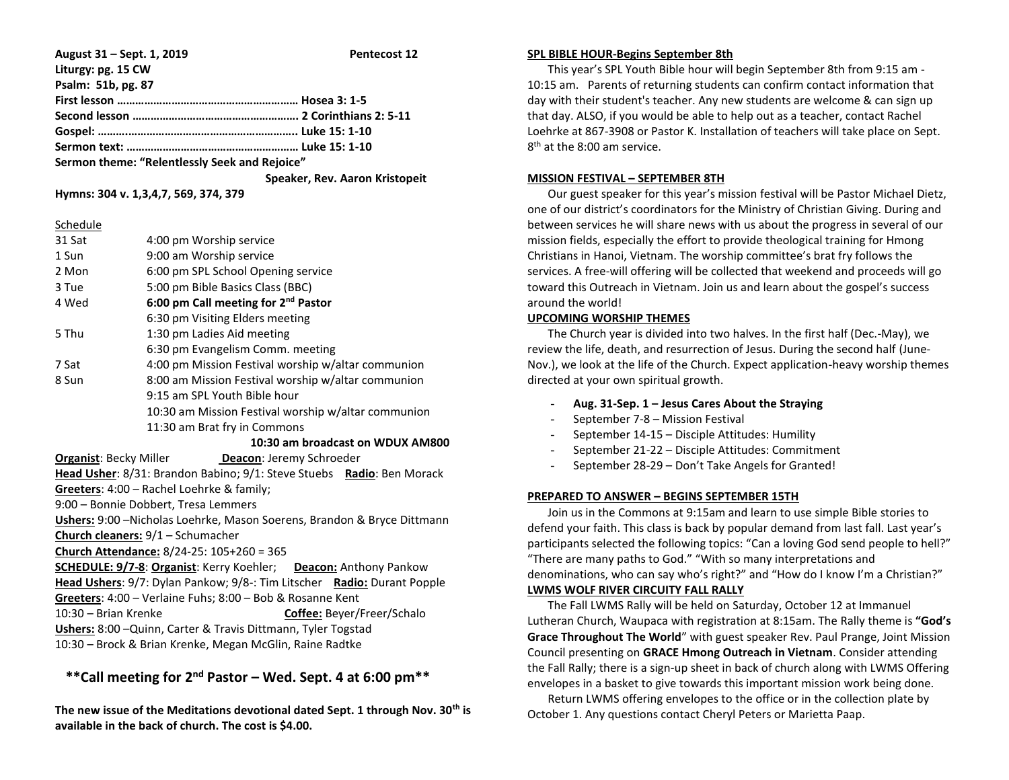**August 31 – Sept. 1, 2019 Pentecost 12 Liturgy: pg. 15 CW Psalm: 51b, pg. 87 First lesson …………………………………………………… Hosea 3: 1-5 Second lesson ………………………………………………. 2 Corinthians 2: 5-11 Gospel: ……….……………………………………………….. Luke 15: 1-10 Sermon text: ………………………………………………… Luke 15: 1-10 Sermon theme: "Relentlessly Seek and Rejoice" Speaker, Rev. Aaron Kristopeit**

**Hymns: 304 v. 1,3,4,7, 569, 374, 379**

### Schedule

| 31 Sat                                                                         | 4:00 pm Worship service                             |  |  |  |
|--------------------------------------------------------------------------------|-----------------------------------------------------|--|--|--|
| 1 Sun                                                                          | 9:00 am Worship service                             |  |  |  |
| 2 Mon                                                                          | 6:00 pm SPL School Opening service                  |  |  |  |
| 3 Tue                                                                          | 5:00 pm Bible Basics Class (BBC)                    |  |  |  |
| 4 Wed                                                                          | 6:00 pm Call meeting for 2 <sup>nd</sup> Pastor     |  |  |  |
|                                                                                | 6:30 pm Visiting Elders meeting                     |  |  |  |
| 5 Thu                                                                          | 1:30 pm Ladies Aid meeting                          |  |  |  |
|                                                                                | 6:30 pm Evangelism Comm. meeting                    |  |  |  |
| 7 Sat                                                                          | 4:00 pm Mission Festival worship w/altar communion  |  |  |  |
| 8 Sun                                                                          | 8:00 am Mission Festival worship w/altar communion  |  |  |  |
|                                                                                | 9:15 am SPL Youth Bible hour                        |  |  |  |
|                                                                                | 10:30 am Mission Festival worship w/altar communion |  |  |  |
| 11:30 am Brat fry in Commons                                                   |                                                     |  |  |  |
| 10:30 am broadcast on WDUX AM800                                               |                                                     |  |  |  |
|                                                                                |                                                     |  |  |  |
| <b>Organist:</b> Becky Miller <b>Deacon:</b> Jeremy Schroeder                  |                                                     |  |  |  |
| Head Usher: 8/31: Brandon Babino; 9/1: Steve Stuebs Radio: Ben Morack          |                                                     |  |  |  |
| Greeters: 4:00 - Rachel Loehrke & family;                                      |                                                     |  |  |  |
| 9:00 - Bonnie Dobbert, Tresa Lemmers                                           |                                                     |  |  |  |
| <b>Ushers:</b> 9:00 –Nicholas Loehrke, Mason Soerens, Brandon & Bryce Dittmann |                                                     |  |  |  |
|                                                                                | Church cleaners: 9/1 - Schumacher                   |  |  |  |
|                                                                                |                                                     |  |  |  |

**Church Attendance:** 8/24-25: 105+260 = 365

**SCHEDULE: 9/7-8**: **Organist**: Kerry Koehler; **Deacon:** Anthony Pankow **Head Ushers**: 9/7: Dylan Pankow; 9/8-: Tim Litscher **Radio:** Durant Popple **Greeters**: 4:00 – Verlaine Fuhs; 8:00 – Bob & Rosanne Kent 10:30 – Brian Krenke **Coffee:** Beyer/Freer/Schalo **Ushers:** 8:00 –Quinn, Carter & Travis Dittmann, Tyler Togstad

10:30 – Brock & Brian Krenke, Megan McGlin, Raine Radtke

# **\*\*Call meeting for 2nd Pastor – Wed. Sept. 4 at 6:00 pm\*\***

**The new issue of the Meditations devotional dated Sept. 1 through Nov. 30th is available in the back of church. The cost is \$4.00.**

### **SPL BIBLE HOUR-Begins September 8th**

 This year's SPL Youth Bible hour will begin September 8th from 9:15 am - 10:15 am. Parents of returning students can confirm contact information that day with their student's teacher. Any new students are welcome & can sign up that day. ALSO, if you would be able to help out as a teacher, contact Rachel Loehrke at 867-3908 or Pastor K. Installation of teachers will take place on Sept. 8<sup>th</sup> at the 8:00 am service.

# **MISSION FESTIVAL – SEPTEMBER 8TH**

 Our guest speaker for this year's mission festival will be Pastor Michael Dietz, one of our district's coordinators for the Ministry of Christian Giving. During and between services he will share news with us about the progress in several of our mission fields, especially the effort to provide theological training for Hmong Christians in Hanoi, Vietnam. The worship committee's brat fry follows the services. A free-will offering will be collected that weekend and proceeds will go toward this Outreach in Vietnam. Join us and learn about the gospel's success around the world!

# **UPCOMING WORSHIP THEMES**

 The Church year is divided into two halves. In the first half (Dec.-May), we review the life, death, and resurrection of Jesus. During the second half (June-Nov.), we look at the life of the Church. Expect application-heavy worship themes directed at your own spiritual growth.

# - **Aug. 31-Sep. 1 – Jesus Cares About the Straying**

- September 7-8 Mission Festival
- September 14-15 Disciple Attitudes: Humility
- September 21-22 Disciple Attitudes: Commitment
- September 28-29 Don't Take Angels for Granted!

# **PREPARED TO ANSWER – BEGINS SEPTEMBER 15TH**

 Join us in the Commons at 9:15am and learn to use simple Bible stories to defend your faith. This class is back by popular demand from last fall. Last year's participants selected the following topics: "Can a loving God send people to hell?" "There are many paths to God." "With so many interpretations and denominations, who can say who's right?" and "How do I know I'm a Christian?" **LWMS WOLF RIVER CIRCUITY FALL RALLY**

 The Fall LWMS Rally will be held on Saturday, October 12 at Immanuel Lutheran Church, Waupaca with registration at 8:15am. The Rally theme is **"God's Grace Throughout The World**" with guest speaker Rev. Paul Prange, Joint Mission Council presenting on **GRACE Hmong Outreach in Vietnam**. Consider attending the Fall Rally; there is a sign-up sheet in back of church along with LWMS Offering envelopes in a basket to give towards this important mission work being done.

 Return LWMS offering envelopes to the office or in the collection plate by October 1. Any questions contact Cheryl Peters or Marietta Paap.